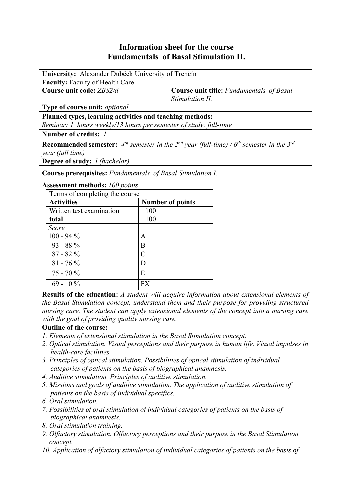## **Information sheet for the course Fundamentals of Basal Stimulation II.**

| University: Alexander Dubček University of Trenčín                                                                  |                         |                                                             |  |  |
|---------------------------------------------------------------------------------------------------------------------|-------------------------|-------------------------------------------------------------|--|--|
| Faculty: Faculty of Health Care                                                                                     |                         |                                                             |  |  |
| Course unit code: ZBS2/d                                                                                            |                         | Course unit title: Fundamentals of Basal<br>Stimulation II. |  |  |
| Type of course unit: optional                                                                                       |                         |                                                             |  |  |
| Planned types, learning activities and teaching methods:                                                            |                         |                                                             |  |  |
| Seminar: 1 hours weekly/13 hours per semester of study; full-time                                                   |                         |                                                             |  |  |
| Number of credits: 1                                                                                                |                         |                                                             |  |  |
| <b>Recommended semester:</b> $4^{th}$ semester in the $2^{nd}$ year (full-time) / $6^{th}$ semester in the $3^{rd}$ |                         |                                                             |  |  |
| year (full time)                                                                                                    |                         |                                                             |  |  |
| <b>Degree of study:</b> <i>I (bachelor)</i>                                                                         |                         |                                                             |  |  |
| <b>Course prerequisites:</b> Fundamentals of Basal Stimulation I.                                                   |                         |                                                             |  |  |
| <b>Assessment methods: 100 points</b>                                                                               |                         |                                                             |  |  |
| Terms of completing the course                                                                                      |                         |                                                             |  |  |
| <b>Activities</b>                                                                                                   | <b>Number of points</b> |                                                             |  |  |
| Written test examination                                                                                            | 100                     |                                                             |  |  |
| total                                                                                                               | 100                     |                                                             |  |  |
| Score                                                                                                               |                         |                                                             |  |  |
| $100 - 94 %$                                                                                                        | $\mathbf{A}$            |                                                             |  |  |
| 93 - 88 %                                                                                                           | B                       |                                                             |  |  |
| $87 - 82 \%$                                                                                                        | $\overline{C}$          |                                                             |  |  |
| $81 - 76 \%$                                                                                                        | D                       |                                                             |  |  |
| 75 - 70 %                                                                                                           | E                       |                                                             |  |  |
| $69 - 0\%$                                                                                                          | <b>FX</b>               |                                                             |  |  |
|                                                                                                                     |                         |                                                             |  |  |

**Results of the education:** *A student will acquire information about extensional elements of the Basal Stimulation concept, understand them and their purpose for providing structured nursing care. The student can apply extensional elements of the concept into a nursing care with the goal of providing quality nursing care.*

## **Outline of the course:**

- *1. Elements of extensional stimulation in the Basal Stimulation concept.*
- *2. Optical stimulation. Visual perceptions and their purpose in human life. Visual impulses in health-care facilities.*
- *3. Principles of optical stimulation. Possibilities of optical stimulation of individual categories of patients on the basis of biographical anamnesis.*
- *4. Auditive stimulation. Principles of auditive stimulation.*
- *5. Missions and goals of auditive stimulation. The application of auditive stimulation of patients on the basis of individual specifics.*
- *6. Oral stimulation.*
- *7. Possibilities of oral stimulation of individual categories of patients on the basis of biographical anamnesis.*
- *8. Oral stimulation training.*
- *9. Olfactory stimulation. Olfactory perceptions and their purpose in the Basal Stimulation concept.*

*10. Application of olfactory stimulation of individual categories of patients on the basis of*